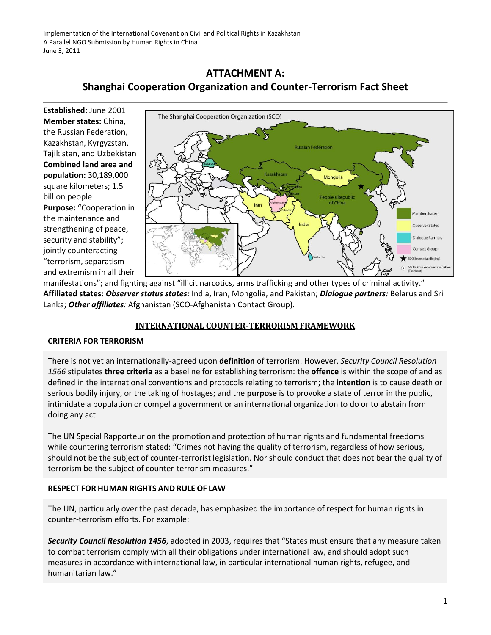# **ATTACHMENT A: Shanghai Cooperation Organization and Counter-Terrorism Fact Sheet**

**Established:** June 2001 **Member states:** China, the Russian Federation, Kazakhstan, Kyrgyzstan, Tajikistan, and Uzbekistan **Combined land area and population:** 30,189,000 square kilometers; 1.5 billion people **Purpose:** "Cooperation in the maintenance and strengthening of peace, security and stability"; jointly counteracting "terrorism, separatism and extremism in all their



manifestations"; and fighting against "illicit narcotics, arms trafficking and other types of criminal activity." **Affiliated states:** *Observer status states:* India, Iran, Mongolia, and Pakistan; *Dialogue partners:* Belarus and Sri Lanka; *Other affiliates:* Afghanistan (SCO-Afghanistan Contact Group).

## **INTERNATIONAL COUNTER-TERRORISM FRAMEWORK**

## **CRITERIA FOR TERRORISM**

There is not yet an internationally-agreed upon **definition** of terrorism. However, *Security Council Resolution 1566* stipulates **three criteria** as a baseline for establishing terrorism: the **offence** is within the scope of and as defined in the international conventions and protocols relating to terrorism; the **intention** is to cause death or serious bodily injury, or the taking of hostages; and the **purpose** is to provoke a state of terror in the public, intimidate a population or compel a government or an international organization to do or to abstain from doing any act.

The UN Special Rapporteur on the promotion and protection of human rights and fundamental freedoms while countering terrorism stated: "Crimes not having the quality of terrorism, regardless of how serious, should not be the subject of counter-terrorist legislation. Nor should conduct that does not bear the quality of terrorism be the subject of counter-terrorism measures."

## **RESPECT FOR HUMAN RIGHTS AND RULE OF LAW**

The UN, particularly over the past decade, has emphasized the importance of respect for human rights in counter-terrorism efforts. For example:

*Security Council Resolution 1456*, adopted in 2003, requires that "States must ensure that any measure taken to combat terrorism comply with all their obligations under international law, and should adopt such measures in accordance with international law, in particular international human rights, refugee, and humanitarian law."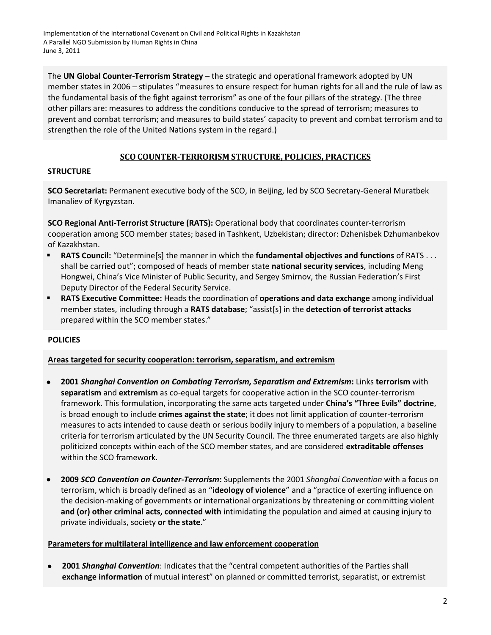Implementation of the International Covenant on Civil and Political Rights in Kazakhstan A Parallel NGO Submission by Human Rights in China June 3, 2011

The **UN Global Counter-Terrorism Strategy** – the strategic and operational framework adopted by UN member states in 2006 – stipulates "measures to ensure respect for human rights for all and the rule of law as the fundamental basis of the fight against terrorism" as one of the four pillars of the strategy. (The three other pillars are: measures to address the conditions conducive to the spread of terrorism; measures to prevent and combat terrorism; and measures to build states' capacity to prevent and combat terrorism and to strengthen the role of the United Nations system in the regard.)

### **SCO COUNTER-TERRORISM STRUCTURE, POLICIES, PRACTICES**

#### **STRUCTURE**

**SCO Secretariat:** Permanent executive body of the SCO, in Beijing, led by SCO Secretary-General Muratbek Imanaliev of Kyrgyzstan.

**SCO Regional Anti-Terrorist Structure (RATS):** Operational body that coordinates counter-terrorism cooperation among SCO member states; based in Tashkent, Uzbekistan; director: Dzhenisbek Dzhumanbekov of Kazakhstan.

- **RATS Council:** "Determine[s] the manner in which the **fundamental objectives and functions** of RATS . . . shall be carried out"; composed of heads of member state **national security services**, including Meng Hongwei, China's Vice Minister of Public Security, and Sergey Smirnov, the Russian Federation's First Deputy Director of the Federal Security Service.
- **RATS Executive Committee:** Heads the coordination of **operations and data exchange** among individual member states, including through a **RATS database**; "assist[s] in the **detection of terrorist attacks**  prepared within the SCO member states."

### **POLICIES**

#### **Areas targeted for security cooperation: terrorism, separatism, and extremism**

- **2001** *Shanghai Convention on Combating Terrorism, Separatism and Extremism***:** Links **terrorism** with **separatism** and **extremism** as co-equal targets for cooperative action in the SCO counter-terrorism framework. This formulation, incorporating the same acts targeted under **China's "Three Evils" doctrine**, is broad enough to include **crimes against the state**; it does not limit application of counter-terrorism measures to acts intended to cause death or serious bodily injury to members of a population, a baseline criteria for terrorism articulated by the UN Security Council. The three enumerated targets are also highly politicized concepts within each of the SCO member states, and are considered **extraditable offenses** within the SCO framework.
- **2009** *SCO Convention on Counter-Terrorism***:** Supplements the 2001 *Shanghai Convention* with a focus on terrorism, which is broadly defined as an "**ideology of violence**" and a "practice of exerting influence on the decision-making of governments or international organizations by threatening or committing violent **and (or) other criminal acts, connected with** intimidating the population and aimed at causing injury to private individuals, society **or the state**."

#### **Parameters for multilateral intelligence and law enforcement cooperation**

 **2001** *Shanghai Convention*: Indicates that the "central competent authorities of the Parties shall **exchange information** of mutual interest" on planned or committed terrorist, separatist, or extremist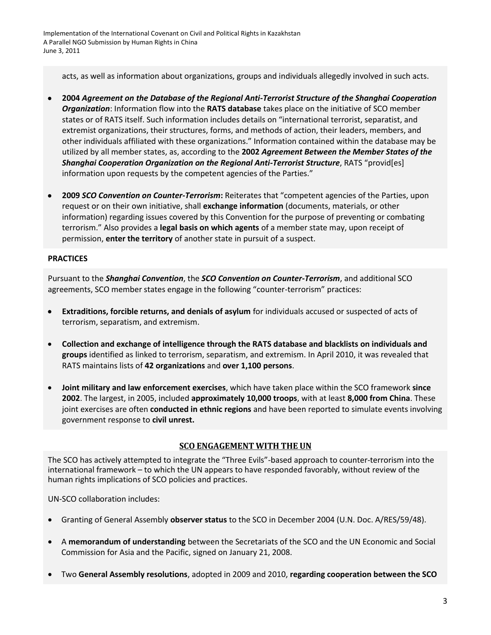Implementation of the International Covenant on Civil and Political Rights in Kazakhstan A Parallel NGO Submission by Human Rights in China June 3, 2011

acts, as well as information about organizations, groups and individuals allegedly involved in such acts.

- **2004** *Agreement on the Database of the Regional Anti-Terrorist Structure of the Shanghai Cooperation Organization*: Information flow into the **RATS database** takes place on the initiative of SCO member states or of RATS itself. Such information includes details on "international terrorist, separatist, and extremist organizations, their structures, forms, and methods of action, their leaders, members, and other individuals affiliated with these organizations." Information contained within the database may be utilized by all member states, as, according to the **2002** *Agreement Between the Member States of the Shanghai Cooperation Organization on the Regional Anti-Terrorist Structure*, RATS "provid[es] information upon requests by the competent agencies of the Parties."
- **2009** *SCO Convention on Counter-Terrorism***:** Reiterates that "competent agencies of the Parties, upon request or on their own initiative, shall **exchange information** (documents, materials, or other information) regarding issues covered by this Convention for the purpose of preventing or combating terrorism." Also provides a **legal basis on which agents** of a member state may, upon receipt of permission, **enter the territory** of another state in pursuit of a suspect.

#### **PRACTICES**

Pursuant to the *Shanghai Convention*, the *SCO Convention on Counter-Terrorism*, and additional SCO agreements, SCO member states engage in the following "counter-terrorism" practices:

- **Extraditions, forcible returns, and denials of asylum** for individuals accused or suspected of acts of terrorism, separatism, and extremism.
- **Collection and exchange of intelligence through the RATS database and blacklists on individuals and groups** identified as linked to terrorism, separatism, and extremism. In April 2010, it was revealed that RATS maintains lists of **42 organizations** and **over 1,100 persons**.
- **Joint military and law enforcement exercises**, which have taken place within the SCO framework **since 2002**. The largest, in 2005, included **approximately 10,000 troops**, with at least **8,000 from China**. These joint exercises are often **conducted in ethnic regions** and have been reported to simulate events involving government response to **civil unrest.**

### **SCO ENGAGEMENT WITH THE UN**

The SCO has actively attempted to integrate the "Three Evils"-based approach to counter-terrorism into the international framework – to which the UN appears to have responded favorably, without review of the human rights implications of SCO policies and practices.

UN-SCO collaboration includes:

- Granting of General Assembly **observer status** to the SCO in December 2004 (U.N. Doc. A/RES/59/48).
- A **memorandum of understanding** between the Secretariats of the SCO and the UN Economic and Social Commission for Asia and the Pacific, signed on January 21, 2008.
- Two **General Assembly resolutions**, adopted in 2009 and 2010, **regarding cooperation between the SCO**